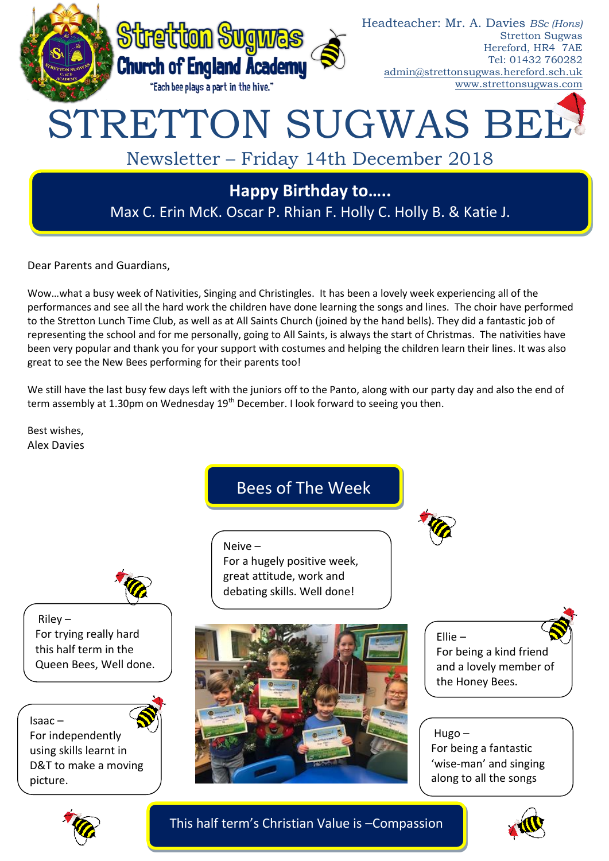

Dear Parents and Guardians,

Wow…what a busy week of Nativities, Singing and Christingles. It has been a lovely week experiencing all of the performances and see all the hard work the children have done learning the songs and lines. The choir have performed to the Stretton Lunch Time Club, as well as at All Saints Church (joined by the hand bells). They did a fantastic job of representing the school and for me personally, going to All Saints, is always the start of Christmas. The nativities have been very popular and thank you for your support with costumes and helping the children learn their lines. It was also great to see the New Bees performing for their parents too!

We still have the last busy few days left with the juniors off to the Panto, along with our party day and also the end of term assembly at 1.30pm on Wednesday 19<sup>th</sup> December. I look forward to seeing you then.

Best wishes, Alex Davies

Bees of The Week

For a hugely positive week, great attitude, work and debating skills. Well done!

Ellie – For being a kind friend and a lovely member of the Honey Bees.

# Hugo – For being a fantastic 'wise-man' and singing along to all the songs



This half term's Christian Value is –Compassion







 $Rilev -$ For trying really hard this half term in the Queen Bees, Well done.

Isaac –

For independently using skills learnt in D&T to make a moving picture.